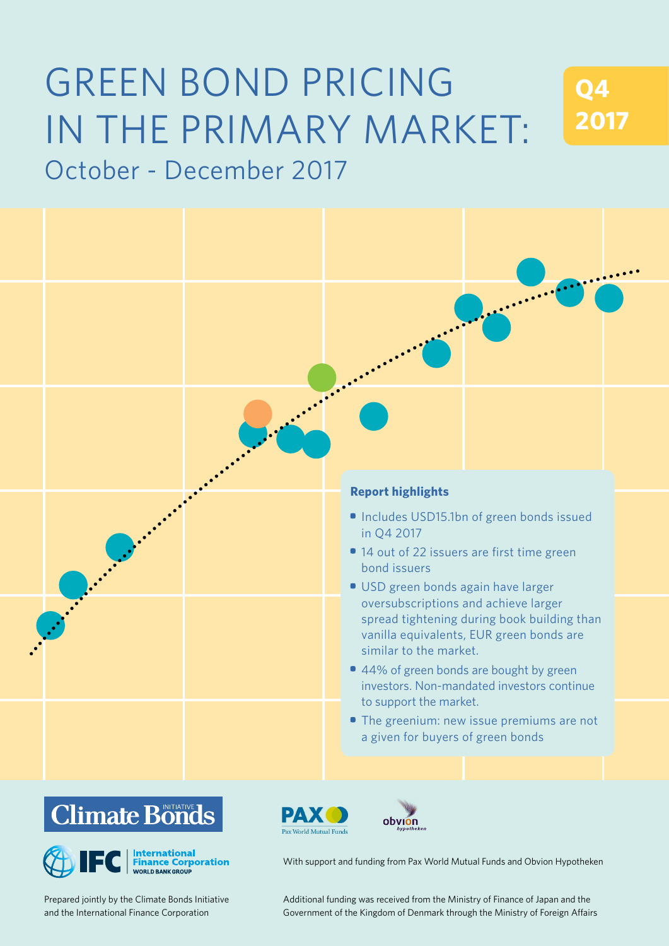# GREEN BOND PRICING IN THE PRIMARY MARKET: October - December 2017

**Q4 2017**







Prepared jointly by the Climate Bonds Initiative and the International Finance Corporation

PAX Pax World Mutual Funds



With support and funding from Pax World Mutual Funds and Obvion Hypotheken

d the International Finance Corporation **Comment of the Kingdom of Denmark through** the Ministry of Foreign Affairs Additional funding was received from the Ministry of Finance of Japan and the Prepared jointly by the Climate Bonds Initiative Additional funding was received from the Ministry of Finance of Japan and the Ministry of Foreign Affairs<br>The Vernment of the Kingdom of Denmark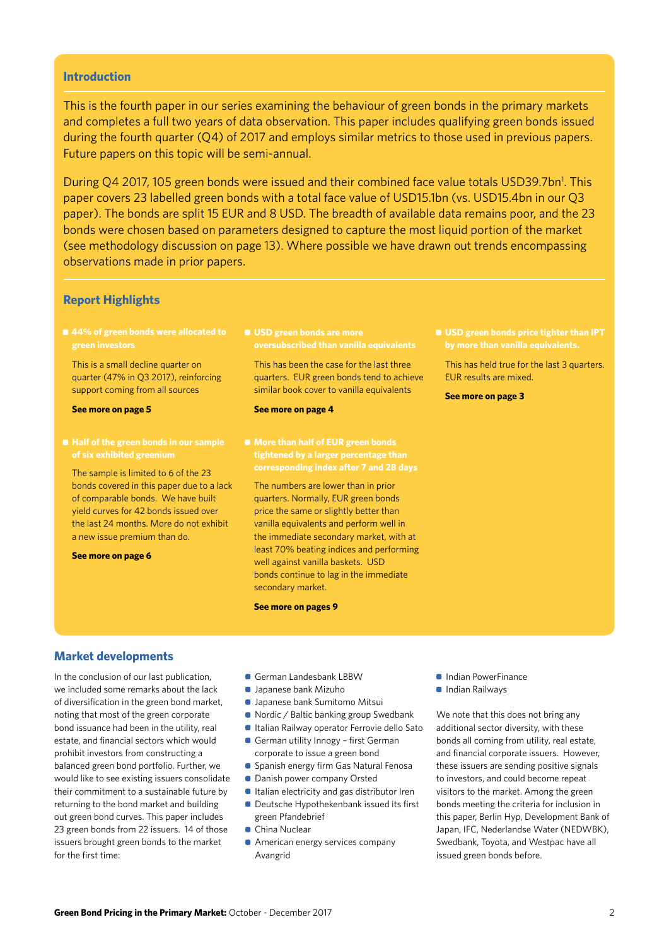#### **Introduction**

This is the fourth paper in our series examining the behaviour of green bonds in the primary markets and completes a full two years of data observation. This paper includes qualifying green bonds issued during the fourth quarter (Q4) of 2017 and employs similar metrics to those used in previous papers. Future papers on this topic will be semi-annual.

During Q4 2017, 105 green bonds were issued and their combined face value totals USD39.7bn<sup>1</sup>. This paper covers 23 labelled green bonds with a total face value of USD15.1bn (vs. USD15.4bn in our Q3 paper). The bonds are split 15 EUR and 8 USD. The breadth of available data remains poor, and the 23 bonds were chosen based on parameters designed to capture the most liquid portion of the market (see methodology discussion on page 13). Where possible we have drawn out trends encompassing observations made in prior papers.

#### **Report Highlights**

**• 44% of green bonds were allocated to green investors**

This is a small decline quarter on quarter (47% in Q3 2017), reinforcing support coming from all sources

#### **See more on page 5**

**of six exhibited greenium**

The sample is limited to 6 of the 23 bonds covered in this paper due to a lack of comparable bonds. We have built yield curves for 42 bonds issued over the last 24 months. More do not exhibit a new issue premium than do.

**See more on page 6**

**• USD green bonds are more oversubscribed than vanilla equivalents**

This has been the case for the last three quarters. EUR green bonds tend to achieve similar book cover to vanilla equivalents

#### **See more on page 4**

The numbers are lower than in prior quarters. Normally, EUR green bonds price the same or slightly better than vanilla equivalents and perform well in the immediate secondary market, with at least 70% beating indices and performing well against vanilla baskets. USD bonds continue to lag in the immediate secondary market.

**See more on pages 9**

This has held true for the last 3 quarters. EUR results are mixed.

**See more on page 3**

#### **Market developments**

In the conclusion of our last publication, we included some remarks about the lack of diversification in the green bond market, noting that most of the green corporate bond issuance had been in the utility, real estate, and financial sectors which would prohibit investors from constructing a balanced green bond portfolio. Further, we would like to see existing issuers consolidate their commitment to a sustainable future by returning to the bond market and building out green bond curves. This paper includes 23 green bonds from 22 issuers. 14 of those issuers brought green bonds to the market for the first time:

- German Landesbank LBBW
- Japanese bank Mizuho
- Japanese bank Sumitomo Mitsui
- Nordic / Baltic banking group Swedbank
- Italian Railway operator Ferrovie dello Sato
- German utility Innogy first German
- corporate to issue a green bond
- **Spanish energy firm Gas Natural Fenosa**
- Danish power company Orsted
- **Italian electricity and gas distributor Iren** • Deutsche Hypothekenbank issued its first green Pfandebrief
- China Nuclear
- **American energy services company** Avangrid
- **Indian PowerFinance**
- **Indian Railways**

We note that this does not bring any additional sector diversity, with these bonds all coming from utility, real estate, and financial corporate issuers. However, these issuers are sending positive signals to investors, and could become repeat visitors to the market. Among the green bonds meeting the criteria for inclusion in this paper, Berlin Hyp, Development Bank of Japan, IFC, Nederlandse Water (NEDWBK), Swedbank, Toyota, and Westpac have all issued green bonds before.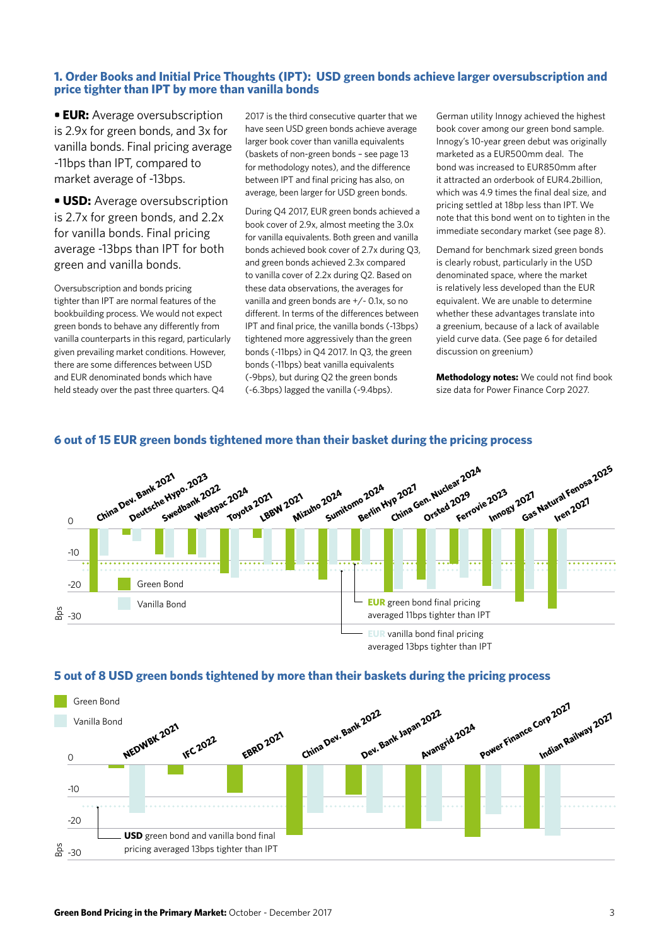# **1. Order Books and Initial Price Thoughts (IPT): USD green bonds achieve larger oversubscription and price tighter than IPT by more than vanilla bonds**

**• EUR:** Average oversubscription is 2.9x for green bonds, and 3x for vanilla bonds. Final pricing average -11bps than IPT, compared to market average of -13bps.

**• USD:** Average oversubscription is 2.7x for green bonds, and 2.2x for vanilla bonds. Final pricing average -13bps than IPT for both green and vanilla bonds.

Oversubscription and bonds pricing tighter than IPT are normal features of the bookbuilding process. We would not expect green bonds to behave any differently from vanilla counterparts in this regard, particularly given prevailing market conditions. However, there are some differences between USD and EUR denominated bonds which have held steady over the past three quarters. Q4

2017 is the third consecutive quarter that we have seen USD green bonds achieve average larger book cover than vanilla equivalents (baskets of non-green bonds – see page 13 for methodology notes), and the difference between IPT and final pricing has also, on average, been larger for USD green bonds.

During Q4 2017, EUR green bonds achieved a book cover of 2.9x, almost meeting the 3.0x for vanilla equivalents. Both green and vanilla bonds achieved book cover of 2.7x during Q3, and green bonds achieved 2.3x compared to vanilla cover of 2.2x during Q2. Based on these data observations, the averages for vanilla and green bonds are +/- 0.1x, so no different. In terms of the differences between IPT and final price, the vanilla bonds (-13bps) tightened more aggressively than the green bonds (-11bps) in Q4 2017. In Q3, the green bonds (-11bps) beat vanilla equivalents (-9bps), but during Q2 the green bonds (-6.3bps) lagged the vanilla (-9.4bps).

German utility Innogy achieved the highest book cover among our green bond sample. Innogy's 10-year green debut was originally marketed as a EUR500mm deal. The bond was increased to EUR850mm after it attracted an orderbook of EUR4.2billion, which was 4.9 times the final deal size, and pricing settled at 18bp less than IPT. We note that this bond went on to tighten in the immediate secondary market (see page 8).

Demand for benchmark sized green bonds is clearly robust, particularly in the USD denominated space, where the market is relatively less developed than the EUR equivalent. We are unable to determine whether these advantages translate into a greenium, because of a lack of available yield curve data. (See page 6 for detailed discussion on greenium)

**Methodology notes:** We could not find book size data for Power Finance Corp 2027.



# **6 out of 15 EUR green bonds tightened more than their basket during the pricing process**



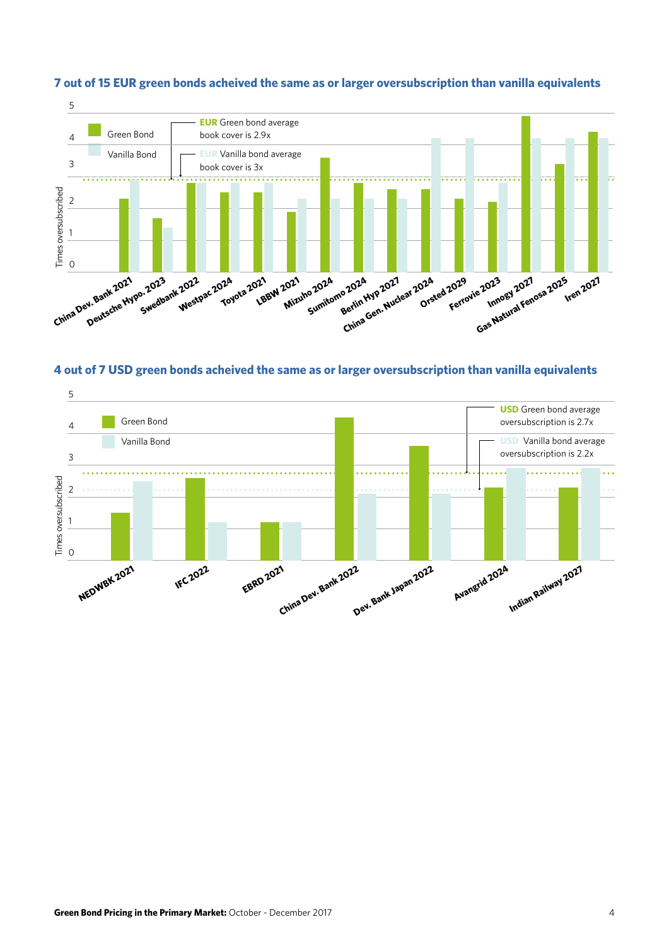

# **7 out of 15 EUR green bonds acheived the same as or larger oversubscription than vanilla equivalents**



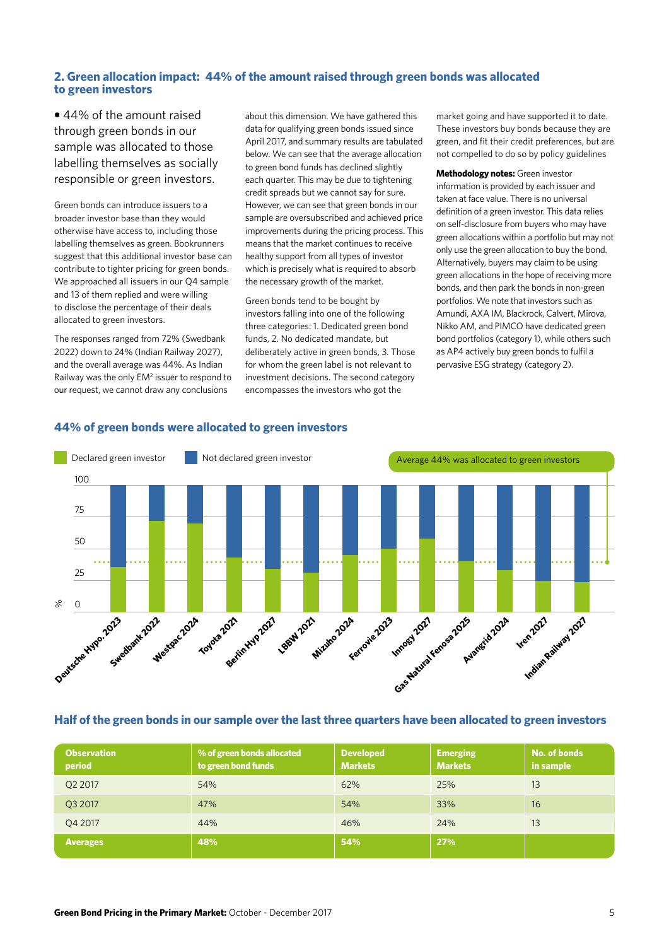# **2. Green allocation impact: 44% of the amount raised through green bonds was allocated to green investors**

**•** 44% of the amount raised through green bonds in our sample was allocated to those labelling themselves as socially responsible or green investors.

Green bonds can introduce issuers to a broader investor base than they would otherwise have access to, including those labelling themselves as green. Bookrunners suggest that this additional investor base can contribute to tighter pricing for green bonds. We approached all issuers in our Q4 sample and 13 of them replied and were willing to disclose the percentage of their deals allocated to green investors.

The responses ranged from 72% (Swedbank 2022) down to 24% (Indian Railway 2027), and the overall average was 44%. As Indian Railway was the only EM<sup>2</sup> issuer to respond to our request, we cannot draw any conclusions

about this dimension. We have gathered this data for qualifying green bonds issued since April 2017, and summary results are tabulated below. We can see that the average allocation to green bond funds has declined slightly each quarter. This may be due to tightening credit spreads but we cannot say for sure. However, we can see that green bonds in our sample are oversubscribed and achieved price improvements during the pricing process. This means that the market continues to receive healthy support from all types of investor which is precisely what is required to absorb the necessary growth of the market.

Green bonds tend to be bought by investors falling into one of the following three categories: 1. Dedicated green bond funds, 2. No dedicated mandate, but deliberately active in green bonds, 3. Those for whom the green label is not relevant to investment decisions. The second category encompasses the investors who got the

market going and have supported it to date. These investors buy bonds because they are green, and fit their credit preferences, but are not compelled to do so by policy guidelines

**Methodology notes:** Green investor information is provided by each issuer and taken at face value. There is no universal definition of a green investor. This data relies on self-disclosure from buyers who may have green allocations within a portfolio but may not only use the green allocation to buy the bond. Alternatively, buyers may claim to be using green allocations in the hope of receiving more bonds, and then park the bonds in non-green portfolios. We note that investors such as Amundi, AXA IM, Blackrock, Calvert, Mirova, Nikko AM, and PIMCO have dedicated green bond portfolios (category 1), while others such as AP4 actively buy green bonds to fulfil a pervasive ESG strategy (category 2).



# **44% of green bonds were allocated to green investors**

# **Half of the green bonds in our sample over the last three quarters have been allocated to green investors**

| <b>Observation</b><br>period | % of green bonds allocated<br>to green bond funds | <b>Developed</b><br><b>Markets</b> | <b>Emerging</b><br><b>Markets</b> | No. of bonds<br>in sample |
|------------------------------|---------------------------------------------------|------------------------------------|-----------------------------------|---------------------------|
| Q2 2017                      | 54%                                               | 62%                                | 25%                               | 13                        |
| Q3 2017                      | 47%                                               | 54%                                | 33%                               | 16                        |
| Q4 2017                      | 44%                                               | 46%                                | 24%                               | 13                        |
| <b>Averages</b>              | 48%                                               | 54%                                | 27%                               |                           |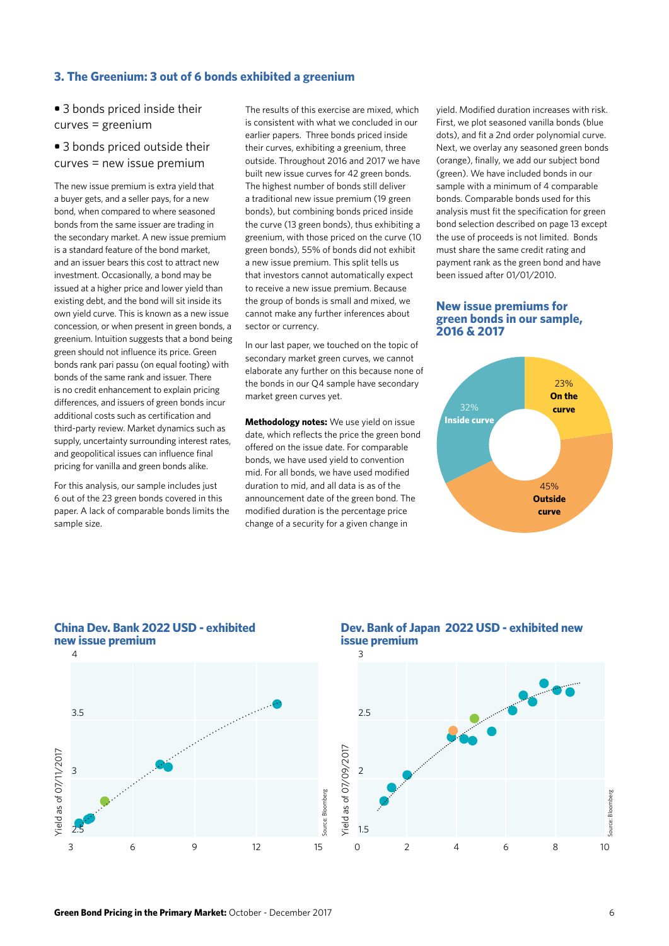### **3. The Greenium: 3 out of 6 bonds exhibited a greenium**

**•** 3 bonds priced inside their curves = greenium

# **•** 3 bonds priced outside their curves = new issue premium

The new issue premium is extra yield that a buyer gets, and a seller pays, for a new bond, when compared to where seasoned bonds from the same issuer are trading in the secondary market. A new issue premium is a standard feature of the bond market, and an issuer bears this cost to attract new investment. Occasionally, a bond may be issued at a higher price and lower yield than existing debt, and the bond will sit inside its own yield curve. This is known as a new issue concession, or when present in green bonds, a greenium. Intuition suggests that a bond being green should not influence its price. Green bonds rank pari passu (on equal footing) with bonds of the same rank and issuer. There is no credit enhancement to explain pricing differences, and issuers of green bonds incur additional costs such as certification and third-party review. Market dynamics such as supply, uncertainty surrounding interest rates, and geopolitical issues can influence final pricing for vanilla and green bonds alike.

For this analysis, our sample includes just 6 out of the 23 green bonds covered in this paper. A lack of comparable bonds limits the sample size.

The results of this exercise are mixed, which is consistent with what we concluded in our earlier papers. Three bonds priced inside their curves, exhibiting a greenium, three outside. Throughout 2016 and 2017 we have built new issue curves for 42 green bonds. The highest number of bonds still deliver a traditional new issue premium (19 green bonds), but combining bonds priced inside the curve (13 green bonds), thus exhibiting a greenium, with those priced on the curve (10 green bonds), 55% of bonds did not exhibit a new issue premium. This split tells us that investors cannot automatically expect to receive a new issue premium. Because the group of bonds is small and mixed, we cannot make any further inferences about sector or currency.

In our last paper, we touched on the topic of secondary market green curves, we cannot elaborate any further on this because none of the bonds in our Q4 sample have secondary market green curves yet.

**Methodology notes:** We use yield on issue date, which reflects the price the green bond offered on the issue date. For comparable bonds, we have used yield to convention mid. For all bonds, we have used modified duration to mid, and all data is as of the announcement date of the green bond. The modified duration is the percentage price change of a security for a given change in

yield. Modified duration increases with risk. First, we plot seasoned vanilla bonds (blue dots), and fit a 2nd order polynomial curve. Next, we overlay any seasoned green bonds (orange), finally, we add our subject bond (green). We have included bonds in our sample with a minimum of 4 comparable bonds. Comparable bonds used for this analysis must fit the specification for green bond selection described on page 13 except the use of proceeds is not limited. Bonds must share the same credit rating and payment rank as the green bond and have been issued after 01/01/2010.

#### **New issue premiums for green bonds in our sample, 2016 & 2017**





2.5

#### **China Dev. Bank 2022 USD - exhibited new issue premium**

# **Dev. Bank of Japan 2022 USD - exhibited new issue premium**



3 6 9 12 15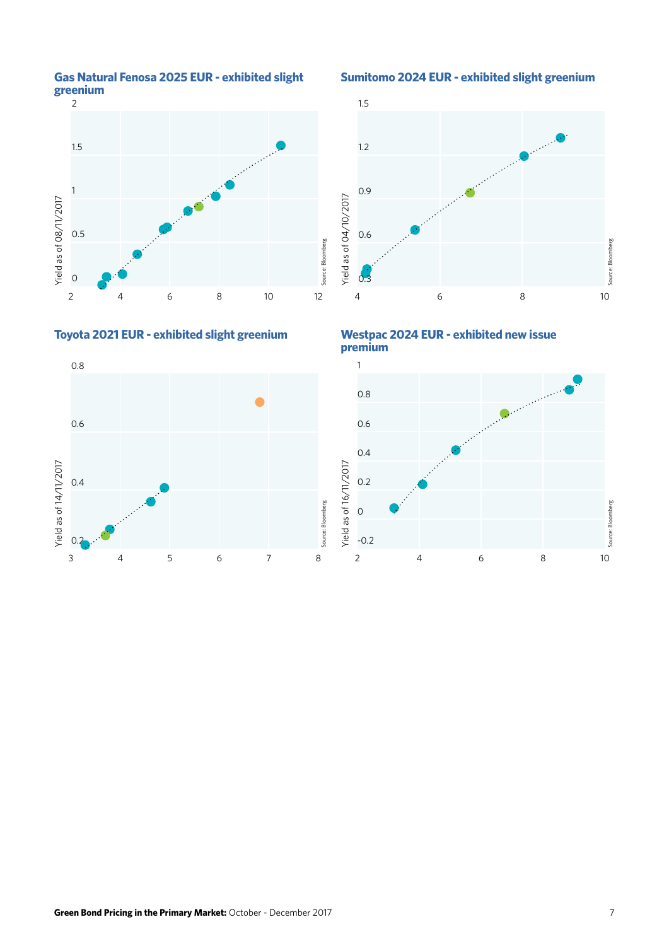



**Sumitomo 2024 EUR - exhibited slight greenium** 





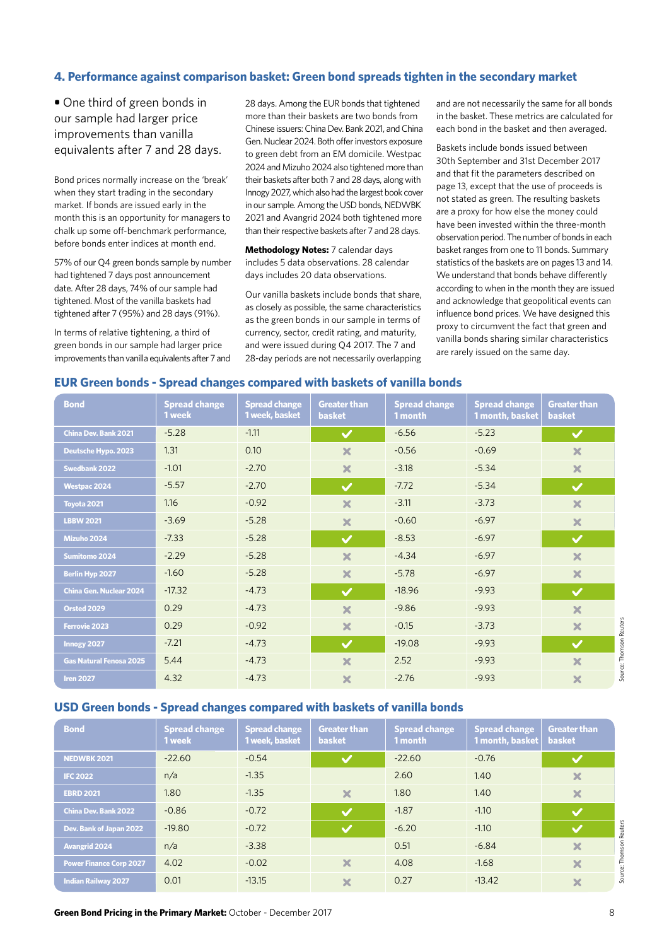#### **4. Performance against comparison basket: Green bond spreads tighten in the secondary market**

**•** One third of green bonds in our sample had larger price improvements than vanilla equivalents after 7 and 28 days.

Bond prices normally increase on the 'break' when they start trading in the secondary market. If bonds are issued early in the month this is an opportunity for managers to chalk up some off-benchmark performance, before bonds enter indices at month end.

57% of our Q4 green bonds sample by number had tightened 7 days post announcement date. After 28 days, 74% of our sample had tightened. Most of the vanilla baskets had tightened after 7 (95%) and 28 days (91%).

In terms of relative tightening, a third of green bonds in our sample had larger price improvements than vanilla equivalents after 7 and

28 days. Among the EUR bonds that tightened more than their baskets are two bonds from Chinese issuers: China Dev. Bank 2021, and China Gen. Nuclear 2024. Both offer investors exposure to green debt from an EM domicile. Westpac 2024 and Mizuho 2024 also tightened more than their baskets after both 7 and 28 days, along with Innogy 2027, which also had the largest book cover in our sample. Among the USD bonds, NEDWBK 2021 and Avangrid 2024 both tightened more than their respective baskets after 7 and 28 days.

**Methodology Notes:** 7 calendar days includes 5 data observations. 28 calendar days includes 20 data observations.

Our vanilla baskets include bonds that share, as closely as possible, the same characteristics as the green bonds in our sample in terms of currency, sector, credit rating, and maturity, and were issued during Q4 2017. The 7 and 28-day periods are not necessarily overlapping and are not necessarily the same for all bonds in the basket. These metrics are calculated for each bond in the basket and then averaged.

Baskets include bonds issued between 30th September and 31st December 2017 and that fit the parameters described on page 13, except that the use of proceeds is not stated as green. The resulting baskets are a proxy for how else the money could have been invested within the three-month observation period. The number of bonds in each basket ranges from one to 11 bonds. Summary statistics of the baskets are on pages 13 and 14. We understand that bonds behave differently according to when in the month they are issued and acknowledge that geopolitical events can influence bond prices. We have designed this proxy to circumvent the fact that green and vanilla bonds sharing similar characteristics are rarely issued on the same day.

### **EUR Green bonds - Spread changes compared with baskets of vanilla bonds**

| <b>Bond</b>                    | <b>Spread change</b><br>1 week | <b>Spread change</b><br>1 week, basket | <b>Greater than</b><br><b>basket</b> | <b>Spread change</b><br>1 month | <b>Spread change</b><br>1 month, basket | <b>Greater than</b><br><b>basket</b> |
|--------------------------------|--------------------------------|----------------------------------------|--------------------------------------|---------------------------------|-----------------------------------------|--------------------------------------|
| <b>China Dev. Bank 2021</b>    | $-5.28$                        | $-1.11$                                | $\checkmark$                         | $-6.56$                         | $-5.23$                                 | $\checkmark$                         |
| Deutsche Hypo. 2023            | 1.31                           | 0.10                                   | $\boldsymbol{\times}$                | $-0.56$                         | $-0.69$                                 | $\boldsymbol{\times}$                |
| <b>Swedbank 2022</b>           | $-1.01$                        | $-2.70$                                | $\boldsymbol{\times}$                | $-3.18$                         | $-5.34$                                 | $\boldsymbol{\mathsf{x}}$            |
| <b>Westpac 2024</b>            | $-5.57$                        | $-2.70$                                | $\checkmark$                         | $-7.72$                         | $-5.34$                                 | $\checkmark$                         |
| Toyota 2021                    | 1.16                           | $-0.92$                                | $\boldsymbol{\times}$                | $-3.11$                         | $-3.73$                                 | $\boldsymbol{\times}$                |
| <b>LBBW 2021</b>               | $-3.69$                        | $-5.28$                                | $\boldsymbol{\times}$                | $-0.60$                         | $-6.97$                                 | $\boldsymbol{\times}$                |
| <b>Mizuho 2024</b>             | $-7.33$                        | $-5.28$                                | $\checkmark$                         | $-8.53$                         | $-6.97$                                 | $\checkmark$                         |
| Sumitomo 2024                  | $-2.29$                        | $-5.28$                                | $\boldsymbol{\times}$                | $-4.34$                         | $-6.97$                                 | $\mathbf x$                          |
| <b>Berlin Hyp 2027</b>         | $-1.60$                        | $-5.28$                                | $\boldsymbol{\times}$                | $-5.78$                         | $-6.97$                                 | $\boldsymbol{\times}$                |
| China Gen. Nuclear 2024        | $-17.32$                       | $-4.73$                                | $\checkmark$                         | $-18.96$                        | $-9.93$                                 | $\checkmark$                         |
| <b>Orsted 2029</b>             | 0.29                           | $-4.73$                                | $\boldsymbol{\times}$                | $-9.86$                         | $-9.93$                                 | $\overline{\mathbf{x}}$              |
| <b>Ferrovie 2023</b>           | 0.29                           | $-0.92$                                | $\boldsymbol{\times}$                | $-0.15$                         | $-3.73$                                 | $\boldsymbol{\times}$                |
| Innogy 2027                    | $-7.21$                        | $-4.73$                                | $\checkmark$                         | $-19.08$                        | $-9.93$                                 | $\checkmark$                         |
| <b>Gas Natural Fenosa 2025</b> | 5.44                           | $-4.73$                                | $\boldsymbol{\times}$                | 2.52                            | $-9.93$                                 | $\boldsymbol{\times}$                |
| <b>Iren 2027</b>               | 4.32                           | $-4.73$                                | $\boldsymbol{\times}$                | $-2.76$                         | $-9.93$                                 | $\boldsymbol{\times}$                |

#### **USD Green bonds - Spread changes compared with baskets of vanilla bonds**

| <b>Bond</b>                    | <b>Spread change</b><br>1 week | <b>Spread change</b><br>1 week, basket | <b>Greater than</b><br><b>basket</b> | <b>Spread change</b><br>1 month | <b>Spread change</b><br>1 month, basket | <b>Greater than</b><br><b>basket</b> |
|--------------------------------|--------------------------------|----------------------------------------|--------------------------------------|---------------------------------|-----------------------------------------|--------------------------------------|
| <b>NEDWBK 2021</b>             | $-22.60$                       | $-0.54$                                | $\bm{\nabla}$                        | $-22.60$                        | $-0.76$                                 | $\checkmark$                         |
| <b>IFC 2022</b>                | n/a                            | $-1.35$                                |                                      | 2.60                            | 1.40                                    | ×                                    |
| <b>EBRD 2021</b>               | 1.80                           | $-1.35$                                | $\boldsymbol{\times}$                | 1.80                            | 1.40                                    | $\boldsymbol{\times}$                |
| <b>China Dev. Bank 2022</b>    | $-0.86$                        | $-0.72$                                | $\boldsymbol{\mathcal{J}}$           | $-1.87$                         | $-1.10$                                 | $\checkmark$                         |
| Dev. Bank of Japan 2022        | $-19.80$                       | $-0.72$                                | $\blacktriangledown$                 | $-6.20$                         | $-1.10$                                 | Reuters<br>$\blacktriangledown$      |
| <b>Avangrid 2024</b>           | n/a                            | $-3.38$                                |                                      | 0.51                            | $-6.84$                                 | ×                                    |
| <b>Power Finance Corp 2027</b> | 4.02                           | $-0.02$                                | ×                                    | 4.08                            | $-1.68$                                 | ×                                    |
| <b>Indian Railway 2027</b>     | 0.01                           | $-13.15$                               | $\boldsymbol{\times}$                | 0.27                            | $-13.42$                                | $\boldsymbol{\times}$                |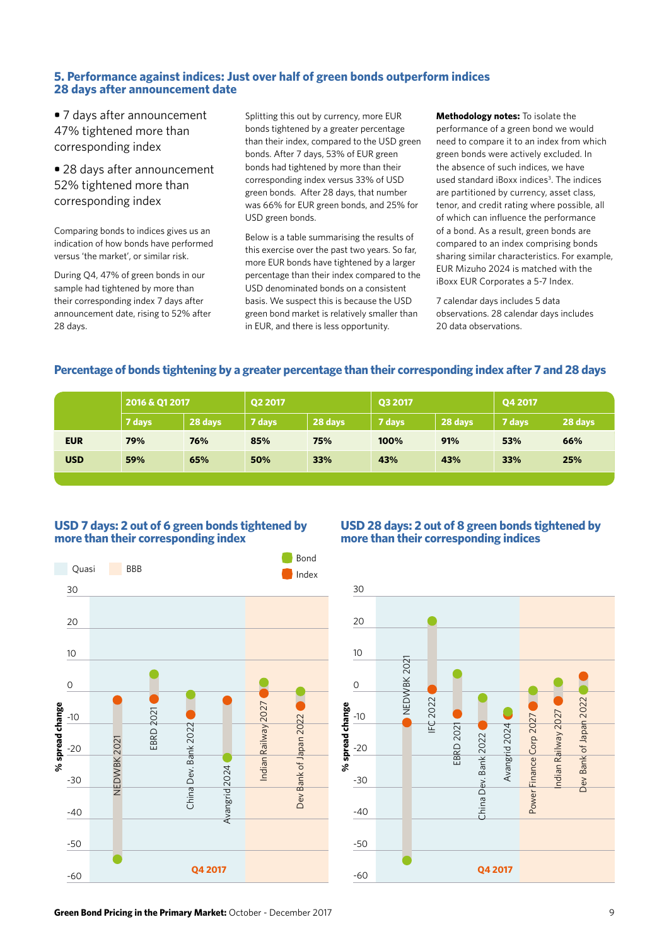# **5. Performance against indices: Just over half of green bonds outperform indices 28 days after announcement date**

**•** 7 days after announcement 47% tightened more than corresponding index

**•** 28 days after announcement 52% tightened more than corresponding index

Comparing bonds to indices gives us an indication of how bonds have performed versus 'the market', or similar risk.

During Q4, 47% of green bonds in our sample had tightened by more than their corresponding index 7 days after announcement date, rising to 52% after 28 days.

Splitting this out by currency, more EUR bonds tightened by a greater percentage than their index, compared to the USD green bonds. After 7 days, 53% of EUR green bonds had tightened by more than their corresponding index versus 33% of USD green bonds. After 28 days, that number was 66% for EUR green bonds, and 25% for USD green bonds.

Below is a table summarising the results of this exercise over the past two years. So far, more EUR bonds have tightened by a larger percentage than their index compared to the USD denominated bonds on a consistent basis. We suspect this is because the USD green bond market is relatively smaller than in EUR, and there is less opportunity.

**Methodology notes:** To isolate the performance of a green bond we would need to compare it to an index from which green bonds were actively excluded. In the absence of such indices, we have used standard iBoxx indices<sup>3</sup>. The indices are partitioned by currency, asset class, tenor, and credit rating where possible, all of which can influence the performance of a bond. As a result, green bonds are compared to an index comprising bonds sharing similar characteristics. For example, EUR Mizuho 2024 is matched with the iBoxx EUR Corporates a 5-7 Index.

7 calendar days includes 5 data observations. 28 calendar days includes 20 data observations.

# **Percentage of bonds tightening by a greater percentage than their corresponding index after 7 and 28 days**

|            | 2016 & Q1 2017 |         | Q2 2017 |         | Q3 2017 |         | Q4 2017 |         |
|------------|----------------|---------|---------|---------|---------|---------|---------|---------|
|            | 7 days         | 28 days | 7 days  | 28 days | 7 days  | 28 days | 7 days  | 28 days |
| <b>EUR</b> | 79%            | 76%     | 85%     | 75%     | 100%    | 91%     | 53%     | 66%     |
| <b>USD</b> | 59%            | 65%     | 50%     | 33%     | 43%     | 43%     | 33%     | 25%     |
|            |                |         |         |         |         |         |         |         |

### **USD 7 days: 2 out of 6 green bonds tightened by more than their corresponding index**



# **USD 28 days: 2 out of 8 green bonds tightened by more than their corresponding indices**



**Green Bond Pricing in the Primary Market:** October - December 2017 9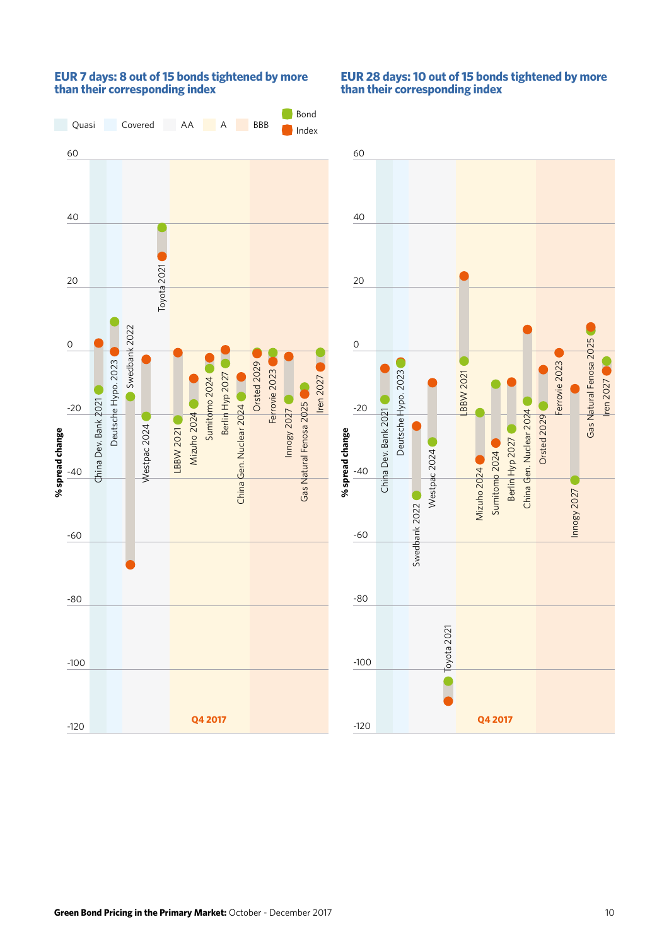

# **EUR 7 days: 8 out of 15 bonds tightened by more than their corresponding index**

# **EUR 28 days: 10 out of 15 bonds tightened by more than their corresponding index**

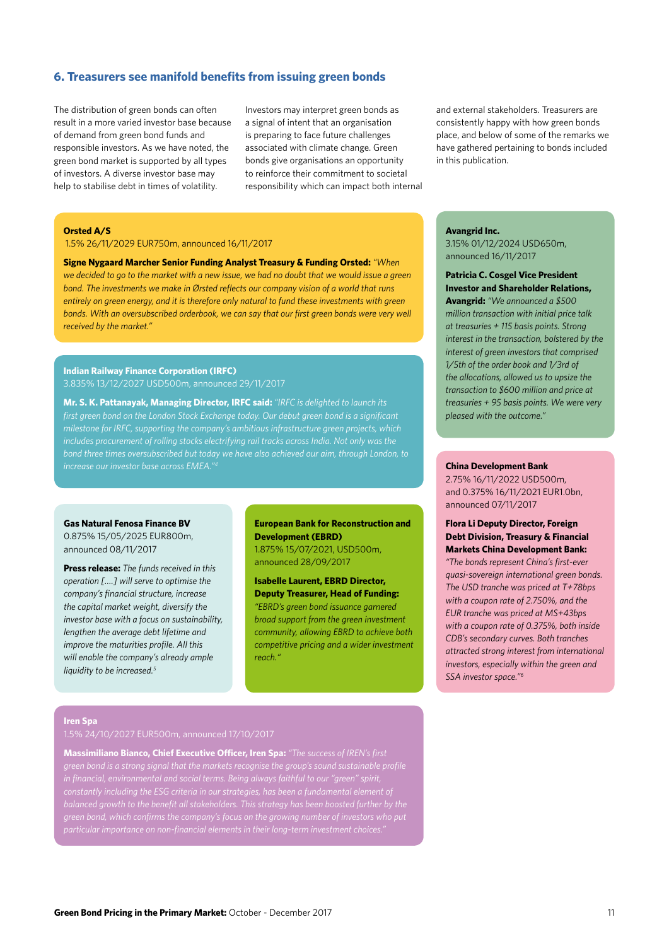#### **6. Treasurers see manifold benefits from issuing green bonds**

The distribution of green bonds can often result in a more varied investor base because of demand from green bond funds and responsible investors. As we have noted, the green bond market is supported by all types of investors. A diverse investor base may help to stabilise debt in times of volatility.

Investors may interpret green bonds as a signal of intent that an organisation is preparing to face future challenges associated with climate change. Green bonds give organisations an opportunity to reinforce their commitment to societal responsibility which can impact both internal

#### **Orsted A/S**

1.5% 26/11/2029 EUR750m, announced 16/11/2017

**Signe Nygaard Marcher Senior Funding Analyst Treasury & Funding Orsted:** *"When we decided to go to the market with a new issue, we had no doubt that we would issue a green bond. The investments we make in Ørsted reflects our company vision of a world that runs entirely on green energy, and it is therefore only natural to fund these investments with green bonds. With an oversubscribed orderbook, we can say that our first green bonds were very well received by the market."*

#### **Indian Railway Finance Corporation (IRFC)** 3.835% 13/12/2027 USD500m, announced 29/11/2017

**Mr. S. K. Pattanayak, Managing Director, IRFC said:** *"IRFC is delighted to launch its first green bond on the London Stock Exchange today. Our debut green bond is a significant bond three times oversubscribed but today we have also achieved our aim, through London, to increase our investor base across EMEA."4* **China Development Bank** 

#### **Gas Natural Fenosa Finance BV**

0.875% 15/05/2025 EUR800m, announced 08/11/2017

**Press release:** *The funds received in this operation [….] will serve to optimise the company's financial structure, increase the capital market weight, diversify the investor base with a focus on sustainability, lengthen the average debt lifetime and improve the maturities profile. All this will enable the company's already ample liquidity to be increased.5*

#### **European Bank for Reconstruction and Development (EBRD)**

1.875% 15/07/2021, USD500m, announced 28/09/2017

**Isabelle Laurent, EBRD Director, Deputy Treasurer, Head of Funding:**  *"EBRD's green bond issuance garnered broad support from the green investment community, allowing EBRD to achieve both competitive pricing and a wider investment reach."*

and external stakeholders. Treasurers are consistently happy with how green bonds place, and below of some of the remarks we have gathered pertaining to bonds included in this publication.

#### **Avangrid Inc.**

3.15% 01/12/2024 USD650m, announced 16/11/2017

**Patricia C. Cosgel Vice President Investor and Shareholder Relations, Avangrid:** *"We announced a \$500 million transaction with initial price talk at treasuries + 115 basis points. Strong interest in the transaction, bolstered by the interest of green investors that comprised 1/5th of the order book and 1/3rd of the allocations, allowed us to upsize the transaction to \$600 million and price at treasuries + 95 basis points. We were very pleased with the outcome."*

2.75% 16/11/2022 USD500m, and 0.375% 16/11/2021 EUR1.0bn, announced 07/11/2017

#### **Flora Li Deputy Director, Foreign Debt Division, Treasury & Financial Markets China Development Bank:**

*"The bonds represent China's first-ever quasi-sovereign international green bonds. The USD tranche was priced at T+78bps with a coupon rate of 2.750%, and the EUR tranche was priced at MS+43bps with a coupon rate of 0.375%, both inside CDB's secondary curves. Both tranches attracted strong interest from international investors, especially within the green and SSA investor space."6*

#### **Iren Spa**

1.5% 24/10/2027 EUR500m, announced 17/10/2017

**Massimiliano Bianco, Chief Executive Officer, Iren Spa:** *"The success of IREN's first balanced growth to the benefit all stakeholders. This strategy has been boosted further by the*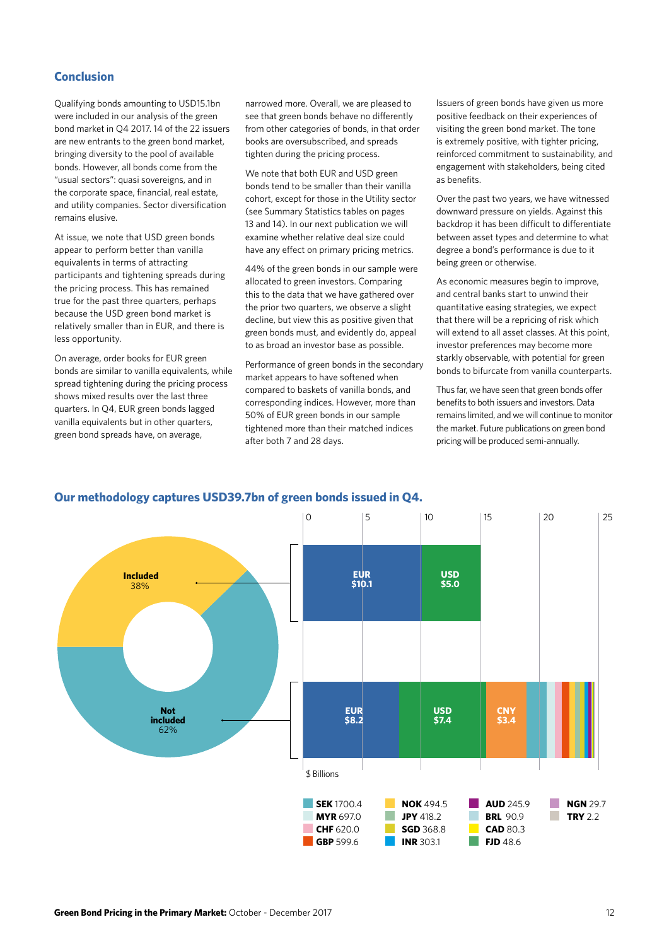# **Conclusion**

Qualifying bonds amounting to USD15.1bn were included in our analysis of the green bond market in Q4 2017. 14 of the 22 issuers are new entrants to the green bond market, bringing diversity to the pool of available bonds. However, all bonds come from the "usual sectors": quasi sovereigns, and in the corporate space, financial, real estate, and utility companies. Sector diversification remains elusive.

At issue, we note that USD green bonds appear to perform better than vanilla equivalents in terms of attracting participants and tightening spreads during the pricing process. This has remained true for the past three quarters, perhaps because the USD green bond market is relatively smaller than in EUR, and there is less opportunity.

On average, order books for EUR green bonds are similar to vanilla equivalents, while spread tightening during the pricing process shows mixed results over the last three quarters. In Q4, EUR green bonds lagged vanilla equivalents but in other quarters, green bond spreads have, on average,

narrowed more. Overall, we are pleased to see that green bonds behave no differently from other categories of bonds, in that order books are oversubscribed, and spreads tighten during the pricing process.

We note that both EUR and USD green bonds tend to be smaller than their vanilla cohort, except for those in the Utility sector (see Summary Statistics tables on pages 13 and 14). In our next publication we will examine whether relative deal size could have any effect on primary pricing metrics.

44% of the green bonds in our sample were allocated to green investors. Comparing this to the data that we have gathered over the prior two quarters, we observe a slight decline, but view this as positive given that green bonds must, and evidently do, appeal to as broad an investor base as possible.

Performance of green bonds in the secondary market appears to have softened when compared to baskets of vanilla bonds, and corresponding indices. However, more than 50% of EUR green bonds in our sample tightened more than their matched indices after both 7 and 28 days.

Issuers of green bonds have given us more positive feedback on their experiences of visiting the green bond market. The tone is extremely positive, with tighter pricing, reinforced commitment to sustainability, and engagement with stakeholders, being cited as benefits.

Over the past two years, we have witnessed downward pressure on yields. Against this backdrop it has been difficult to differentiate between asset types and determine to what degree a bond's performance is due to it being green or otherwise.

As economic measures begin to improve, and central banks start to unwind their quantitative easing strategies, we expect that there will be a repricing of risk which will extend to all asset classes. At this point, investor preferences may become more starkly observable, with potential for green bonds to bifurcate from vanilla counterparts.

Thus far, we have seen that green bonds offer benefits to both issuers and investors. Data remains limited, and we will continue to monitor the market. Future publications on green bond pricing will be produced semi-annually.

#### **Our methodology captures USD39.7bn of green bonds issued in Q4.**

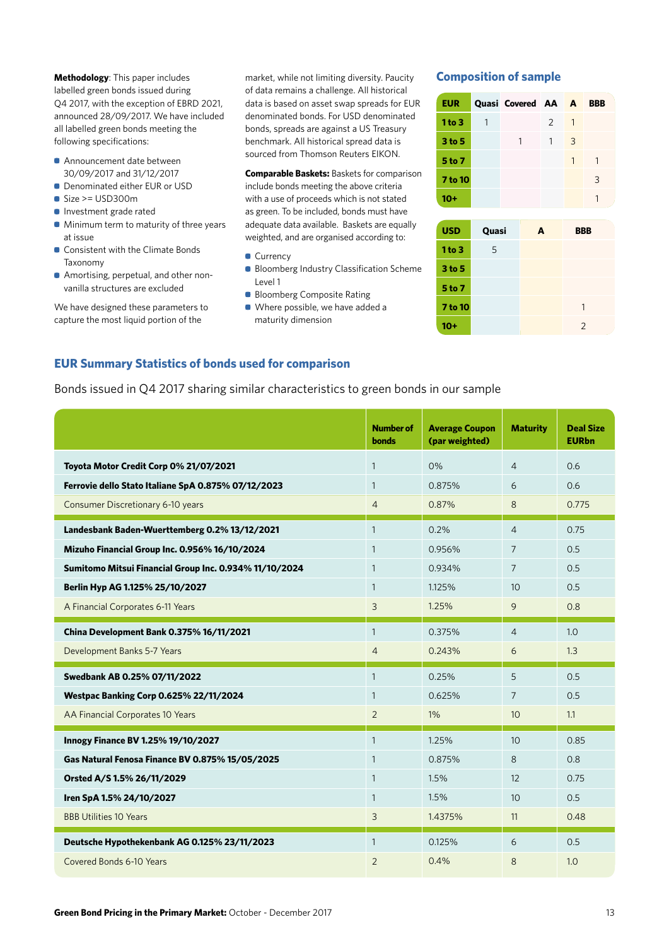**Methodology**: This paper includes labelled green bonds issued during Q4 2017, with the exception of EBRD 2021, announced 28/09/2017. We have included all labelled green bonds meeting the following specifications:

- Announcement date between 30/09/2017 and 31/12/2017
- **Denominated either EUR or USD**
- Size >= USD300m
- **Investment grade rated**
- Minimum term to maturity of three years at issue
- **Consistent with the Climate Bonds** Taxonomy
- Amortising, perpetual, and other nonvanilla structures are excluded

We have designed these parameters to capture the most liquid portion of the

market, while not limiting diversity. Paucity of data remains a challenge. All historical data is based on asset swap spreads for EUR denominated bonds. For USD denominated bonds, spreads are against a US Treasury benchmark. All historical spread data is sourced from Thomson Reuters EIKON.

**Comparable Baskets:** Baskets for comparison include bonds meeting the above criteria with a use of proceeds which is not stated as green. To be included, bonds must have adequate data available. Baskets are equally weighted, and are organised according to:

- Currency
- **Bloomberg Industry Classification Scheme** Level 1
- Bloomberg Composite Rating
- Where possible, we have added a maturity dimension

# **Composition of sample**

| <b>EUR</b> | <b>Quasi Covered AA A</b> |              |    | <b>BBB</b> |
|------------|---------------------------|--------------|----|------------|
| 1 to 3     |                           | 2            |    |            |
| 3 to 5     | 1                         | $\mathbf{1}$ | -3 |            |
| 5 to 7     |                           |              |    |            |
| 7 to 10    |                           |              |    | 3          |
| 10+        |                           |              |    |            |

| <b>USD</b>        | Quasi | A | <b>BBB</b>     |  |
|-------------------|-------|---|----------------|--|
| 1 to 3            | 5     |   |                |  |
| 3 <sub>to</sub> 5 |       |   |                |  |
| 5 to 7            |       |   |                |  |
| <b>7 to 10</b>    |       |   | 1              |  |
| 10+               |       |   | $\overline{2}$ |  |

# **EUR Summary Statistics of bonds used for comparison**

Bonds issued in Q4 2017 sharing similar characteristics to green bonds in our sample

|                                                        | <b>Number of</b><br><b>bonds</b> | <b>Average Coupon</b><br>(par weighted) | <b>Maturity</b>  | <b>Deal Size</b><br><b>EURbn</b> |
|--------------------------------------------------------|----------------------------------|-----------------------------------------|------------------|----------------------------------|
| Toyota Motor Credit Corp 0% 21/07/2021                 | $\mathbf{1}$                     | 0%                                      | $\overline{4}$   | 0.6                              |
| Ferrovie dello Stato Italiane SpA 0.875% 07/12/2023    | $\mathbf{1}$                     | 0.875%                                  | 6                | 0.6                              |
| Consumer Discretionary 6-10 years                      | $\overline{4}$                   | 0.87%                                   | 8                | 0.775                            |
| Landesbank Baden-Wuerttemberg 0.2% 13/12/2021          | $\mathbf{1}$                     | 0.2%                                    | $\overline{4}$   | 0.75                             |
| Mizuho Financial Group Inc. 0.956% 16/10/2024          | $\mathbf{1}$                     | 0.956%                                  | $\overline{7}$   | 0.5                              |
| Sumitomo Mitsui Financial Group Inc. 0.934% 11/10/2024 | $\mathbf{1}$                     | 0.934%                                  | $\overline{7}$   | 0.5                              |
| Berlin Hyp AG 1.125% 25/10/2027                        | $\mathbf{1}$                     | 1.125%                                  | 10               | 0.5                              |
| A Financial Corporates 6-11 Years                      | 3                                | 1.25%                                   | 9                | 0.8                              |
| China Development Bank 0.375% 16/11/2021               | $\mathbf{1}$                     | 0.375%                                  | $\overline{4}$   | 1.0                              |
| Development Banks 5-7 Years                            | $\overline{4}$                   | 0.243%                                  | 6                | 1.3                              |
| Swedbank AB 0.25% 07/11/2022                           | $\mathbf{1}$                     | 0.25%                                   | 5                | 0.5                              |
| Westpac Banking Corp 0.625% 22/11/2024                 | $\mathbf{1}$                     | 0.625%                                  | $\overline{7}$   | 0.5                              |
| AA Financial Corporates 10 Years                       | 2                                | $1\%$                                   | 10               | 1.1                              |
| Innogy Finance BV 1.25% 19/10/2027                     | $\mathbf{1}$                     | 1.25%                                   | 10 <sup>°</sup>  | 0.85                             |
| Gas Natural Fenosa Finance BV 0.875% 15/05/2025        | $\mathbf{1}$                     | 0.875%                                  | 8                | 0.8                              |
| Orsted A/S 1.5% 26/11/2029                             | $\mathbf{1}$                     | 1.5%                                    | 12               | 0.75                             |
| Iren SpA 1.5% 24/10/2027                               | $\mathbf{1}$                     | 1.5%                                    | 10 <sup>10</sup> | 0.5                              |
| <b>BBB Utilities 10 Years</b>                          | 3                                | 1.4375%                                 | 11               | 0.48                             |
| Deutsche Hypothekenbank AG 0.125% 23/11/2023           | $\mathbf{1}$                     | 0.125%                                  | 6                | 0.5                              |
| Covered Bonds 6-10 Years                               | 2                                | 0.4%                                    | 8                | 1.0                              |